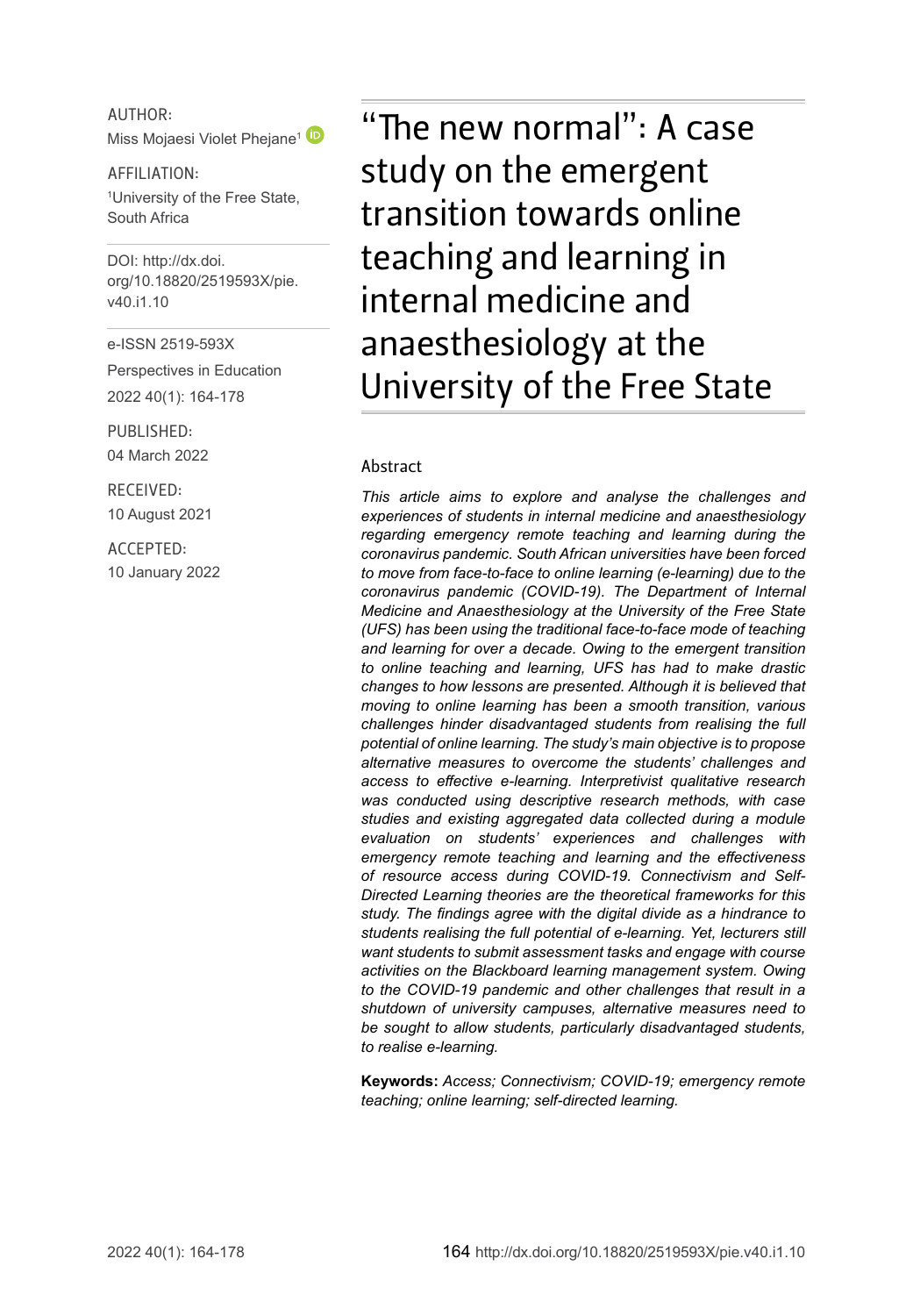AUTHOR: Miss Mojaesi Violet Phejane<sup>[1](http://orcid.org/0000-0003-1085-3050)</sup>

AFFILIATION: 1 University of the Free State, South Africa

DOI: [http://dx.doi.](http://dx.doi.org/10.18820/2519593X/pie.v40.i1.10) [org/10.18820/2519593X/p](http://dx.doi.org/10.18820/2519593X/pie.v40.i1.10)ie. v40.i1.10

e-ISSN 2519-593X

Perspectives in Education 2022 40(1): 164-178

PUBLISHED: 04 March 2022

RECEIVED: 10 August 2021

ACCEPTED: 10 January 2022

"The new normal": A case study on the emergent transition towards online teaching and learning in internal medicine and anaesthesiology at the University of the Free State

#### Abstract

*This article aims to explore and analyse the challenges and experiences of students in internal medicine and anaesthesiology regarding emergency remote teaching and learning during the coronavirus pandemic. South African universities have been forced to move from face-to-face to online learning (e-learning) due to the coronavirus pandemic (COVID-19). The Department of Internal Medicine and Anaesthesiology at the University of the Free State (UFS) has been using the traditional face-to-face mode of teaching and learning for over a decade. Owing to the emergent transition to online teaching and learning, UFS has had to make drastic changes to how lessons are presented. Although it is believed that moving to online learning has been a smooth transition, various challenges hinder disadvantaged students from realising the full potential of online learning. The study's main objective is to propose alternative measures to overcome the students' challenges and access to effective e-learning. Interpretivist qualitative research was conducted using descriptive research methods, with case studies and existing aggregated data collected during a module evaluation on students' experiences and challenges with emergency remote teaching and learning and the effectiveness of resource access during COVID-19. Connectivism and Self-Directed Learning theories are the theoretical frameworks for this study. The findings agree with the digital divide as a hindrance to students realising the full potential of e-learning. Yet, lecturers still want students to submit assessment tasks and engage with course activities on the Blackboard learning management system. Owing to the COVID-19 pandemic and other challenges that result in a shutdown of university campuses, alternative measures need to be sought to allow students, particularly disadvantaged students, to realise e-learning.*

**Keywords:** *Access; Connectivism; COVID-19; emergency remote teaching; online learning; self-directed learning.*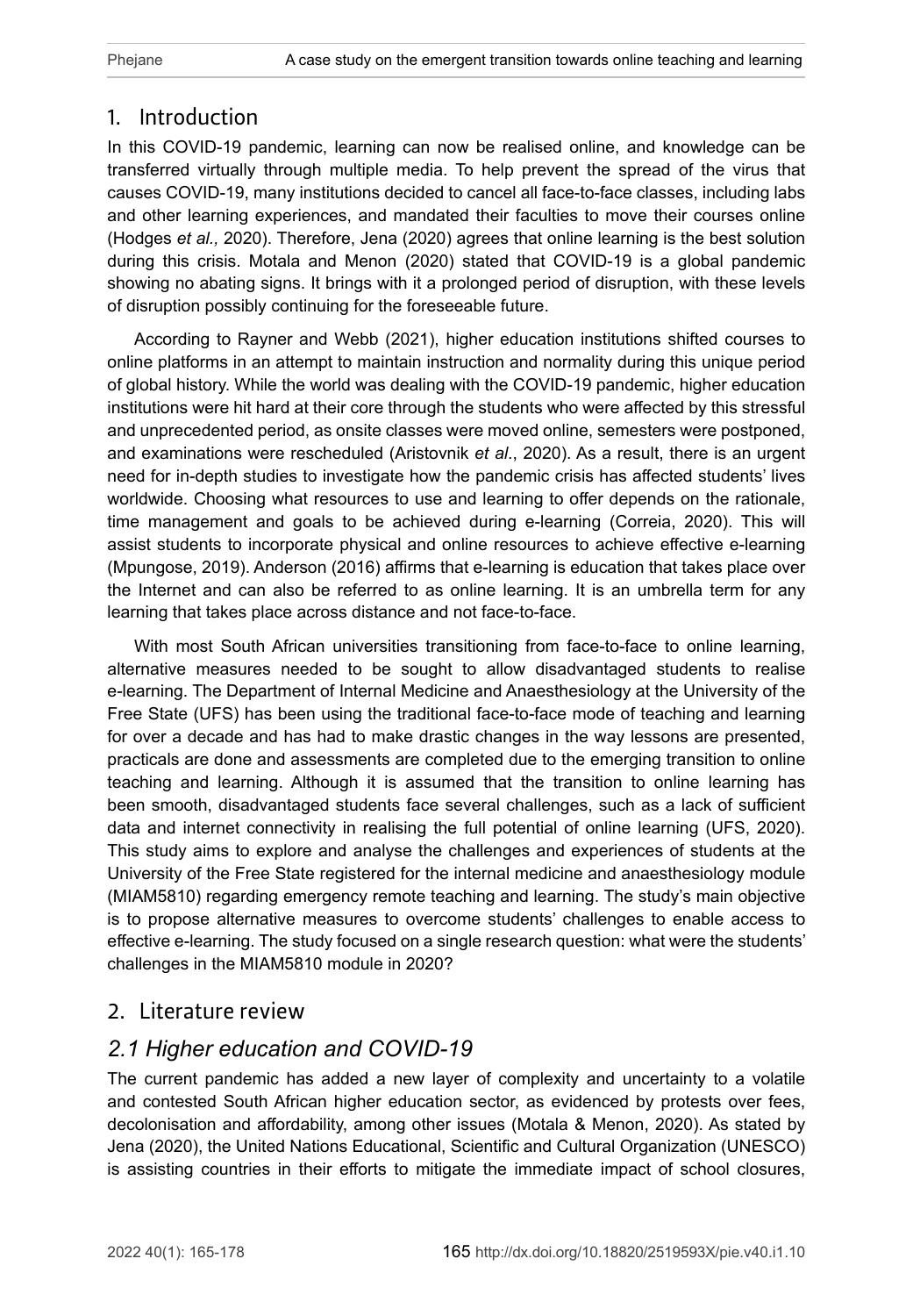# 1. Introduction

In this COVID-19 pandemic, learning can now be realised online, and knowledge can be transferred virtually through multiple media. To help prevent the spread of the virus that causes COVID-19, many institutions decided to cancel all face-to-face classes, including labs and other learning experiences, and mandated their faculties to move their courses online (Hodges *et al.,* 2020). Therefore, Jena (2020) agrees that online learning is the best solution during this crisis. Motala and Menon (2020) stated that COVID-19 is a global pandemic showing no abating signs. It brings with it a prolonged period of disruption, with these levels of disruption possibly continuing for the foreseeable future.

According to Rayner and Webb (2021), higher education institutions shifted courses to online platforms in an attempt to maintain instruction and normality during this unique period of global history. While the world was dealing with the COVID-19 pandemic, higher education institutions were hit hard at their core through the students who were affected by this stressful and unprecedented period, as onsite classes were moved online, semesters were postponed, and examinations were rescheduled (Aristovnik *et al*., 2020). As a result, there is an urgent need for in-depth studies to investigate how the pandemic crisis has affected students' lives worldwide. Choosing what resources to use and learning to offer depends on the rationale, time management and goals to be achieved during e-learning (Correia, 2020). This will assist students to incorporate physical and online resources to achieve effective e-learning (Mpungose, 2019). Anderson (2016) affirms that e-learning is education that takes place over the Internet and can also be referred to as online learning. It is an umbrella term for any learning that takes place across distance and not face-to-face.

With most South African universities transitioning from face-to-face to online learning, alternative measures needed to be sought to allow disadvantaged students to realise e-learning. The Department of Internal Medicine and Anaesthesiology at the University of the Free State (UFS) has been using the traditional face-to-face mode of teaching and learning for over a decade and has had to make drastic changes in the way lessons are presented, practicals are done and assessments are completed due to the emerging transition to online teaching and learning. Although it is assumed that the transition to online learning has been smooth, disadvantaged students face several challenges, such as a lack of sufficient data and internet connectivity in realising the full potential of online learning (UFS, 2020). This study aims to explore and analyse the challenges and experiences of students at the University of the Free State registered for the internal medicine and anaesthesiology module (MIAM5810) regarding emergency remote teaching and learning. The study's main objective is to propose alternative measures to overcome students' challenges to enable access to effective e-learning. The study focused on a single research question: what were the students' challenges in the MIAM5810 module in 2020?

## 2. Literature review

# *2.1 Higher education and COVID-19*

The current pandemic has added a new layer of complexity and uncertainty to a volatile and contested South African higher education sector, as evidenced by protests over fees, decolonisation and affordability, among other issues (Motala & Menon, 2020). As stated by Jena (2020), the United Nations Educational, Scientific and Cultural Organization (UNESCO) is assisting countries in their efforts to mitigate the immediate impact of school closures,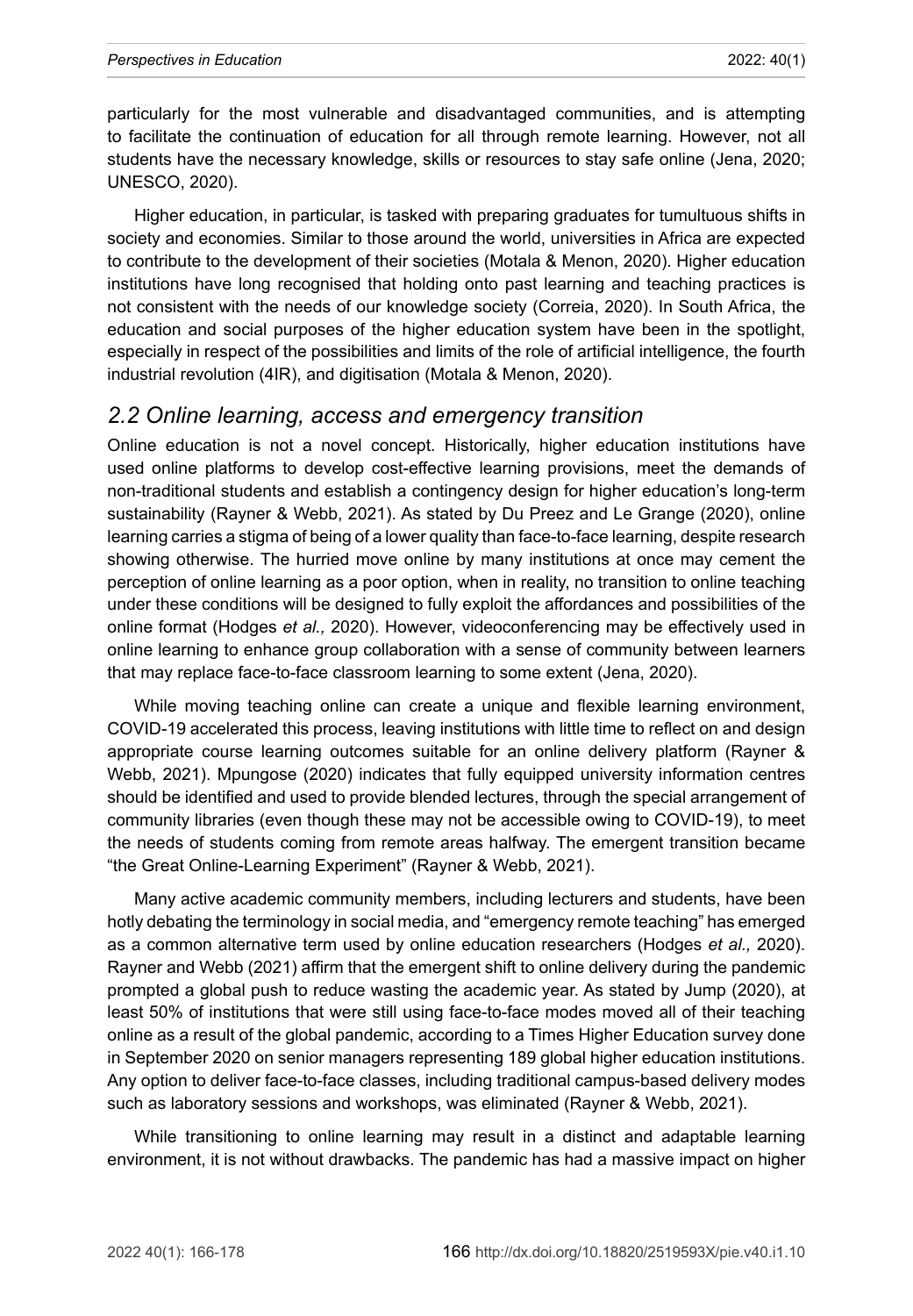particularly for the most vulnerable and disadvantaged communities, and is attempting to facilitate the continuation of education for all through remote learning. However, not all students have the necessary knowledge, skills or resources to stay safe online (Jena, 2020; UNESCO, 2020).

Higher education, in particular, is tasked with preparing graduates for tumultuous shifts in society and economies. Similar to those around the world, universities in Africa are expected to contribute to the development of their societies (Motala & Menon, 2020). Higher education institutions have long recognised that holding onto past learning and teaching practices is not consistent with the needs of our knowledge society (Correia, 2020). In South Africa, the education and social purposes of the higher education system have been in the spotlight, especially in respect of the possibilities and limits of the role of artificial intelligence, the fourth industrial revolution (4IR), and digitisation (Motala & Menon, 2020).

#### *2.2 Online learning, access and emergency transition*

Online education is not a novel concept. Historically, higher education institutions have used online platforms to develop cost-effective learning provisions, meet the demands of non-traditional students and establish a contingency design for higher education's long-term sustainability (Rayner & Webb, 2021). As stated by Du Preez and Le Grange (2020), online learning carries a stigma of being of a lower quality than face-to-face learning, despite research showing otherwise. The hurried move online by many institutions at once may cement the perception of online learning as a poor option, when in reality, no transition to online teaching under these conditions will be designed to fully exploit the affordances and possibilities of the online format (Hodges *et al.,* 2020). However, videoconferencing may be effectively used in online learning to enhance group collaboration with a sense of community between learners that may replace face-to-face classroom learning to some extent (Jena, 2020).

While moving teaching online can create a unique and flexible learning environment, COVID-19 accelerated this process, leaving institutions with little time to reflect on and design appropriate course learning outcomes suitable for an online delivery platform (Rayner & Webb, 2021). Mpungose (2020) indicates that fully equipped university information centres should be identified and used to provide blended lectures, through the special arrangement of community libraries (even though these may not be accessible owing to COVID-19), to meet the needs of students coming from remote areas halfway. The emergent transition became "the Great Online-Learning Experiment" (Rayner & Webb, 2021).

Many active academic community members, including lecturers and students, have been hotly debating the terminology in social media, and "emergency remote teaching" has emerged as a common alternative term used by online education researchers (Hodges *et al.,* 2020). Rayner and Webb (2021) affirm that the emergent shift to online delivery during the pandemic prompted a global push to reduce wasting the academic year. As stated by Jump (2020), at least 50% of institutions that were still using face-to-face modes moved all of their teaching online as a result of the global pandemic, according to a Times Higher Education survey done in September 2020 on senior managers representing 189 global higher education institutions. Any option to deliver face-to-face classes, including traditional campus-based delivery modes such as laboratory sessions and workshops, was eliminated (Rayner & Webb, 2021).

While transitioning to online learning may result in a distinct and adaptable learning environment, it is not without drawbacks. The pandemic has had a massive impact on higher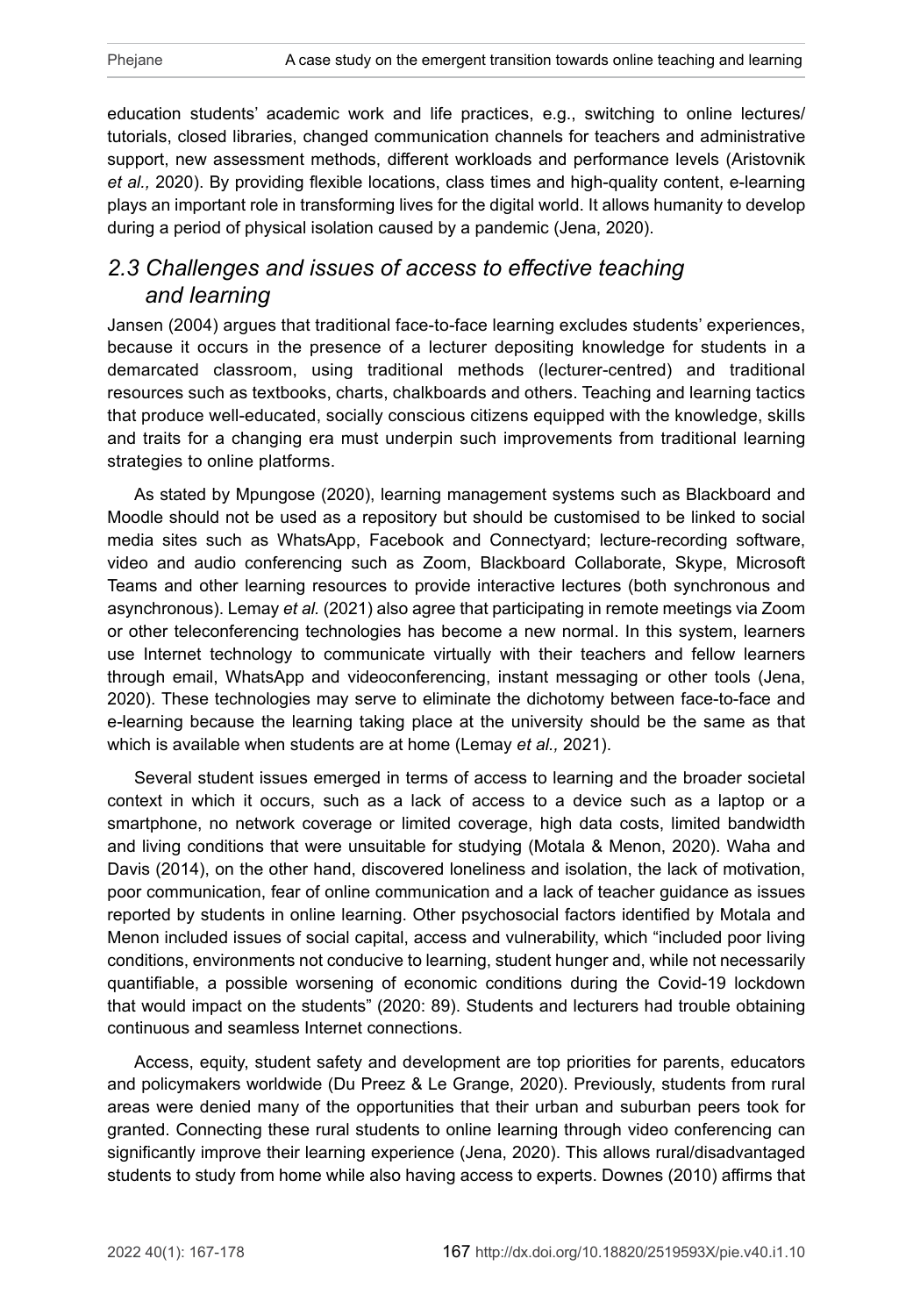education students' academic work and life practices, e.g., switching to online lectures/ tutorials, closed libraries, changed communication channels for teachers and administrative support, new assessment methods, different workloads and performance levels (Aristovnik *et al.,* 2020). By providing flexible locations, class times and high-quality content, e-learning plays an important role in transforming lives for the digital world. It allows humanity to develop during a period of physical isolation caused by a pandemic (Jena, 2020).

# *2.3 Challenges and issues of access to effective teaching and learning*

Jansen (2004) argues that traditional face-to-face learning excludes students' experiences, because it occurs in the presence of a lecturer depositing knowledge for students in a demarcated classroom, using traditional methods (lecturer-centred) and traditional resources such as textbooks, charts, chalkboards and others. Teaching and learning tactics that produce well-educated, socially conscious citizens equipped with the knowledge, skills and traits for a changing era must underpin such improvements from traditional learning strategies to online platforms.

As stated by Mpungose (2020), learning management systems such as Blackboard and Moodle should not be used as a repository but should be customised to be linked to social media sites such as WhatsApp, Facebook and Connectyard; lecture-recording software, video and audio conferencing such as Zoom, Blackboard Collaborate, Skype, Microsoft Teams and other learning resources to provide interactive lectures (both synchronous and asynchronous). Lemay *et al.* (2021) also agree that participating in remote meetings via Zoom or other teleconferencing technologies has become a new normal. In this system, learners use Internet technology to communicate virtually with their teachers and fellow learners through email, WhatsApp and videoconferencing, instant messaging or other tools (Jena, 2020). These technologies may serve to eliminate the dichotomy between face-to-face and e-learning because the learning taking place at the university should be the same as that which is available when students are at home (Lemay *et al.,* 2021).

Several student issues emerged in terms of access to learning and the broader societal context in which it occurs, such as a lack of access to a device such as a laptop or a smartphone, no network coverage or limited coverage, high data costs, limited bandwidth and living conditions that were unsuitable for studying (Motala & Menon, 2020). Waha and Davis (2014), on the other hand, discovered loneliness and isolation, the lack of motivation, poor communication, fear of online communication and a lack of teacher guidance as issues reported by students in online learning. Other psychosocial factors identified by Motala and Menon included issues of social capital, access and vulnerability, which "included poor living conditions, environments not conducive to learning, student hunger and, while not necessarily quantifiable, a possible worsening of economic conditions during the Covid-19 lockdown that would impact on the students" (2020: 89). Students and lecturers had trouble obtaining continuous and seamless Internet connections.

Access, equity, student safety and development are top priorities for parents, educators and policymakers worldwide (Du Preez & Le Grange, 2020). Previously, students from rural areas were denied many of the opportunities that their urban and suburban peers took for granted. Connecting these rural students to online learning through video conferencing can significantly improve their learning experience (Jena, 2020). This allows rural/disadvantaged students to study from home while also having access to experts. Downes (2010) affirms that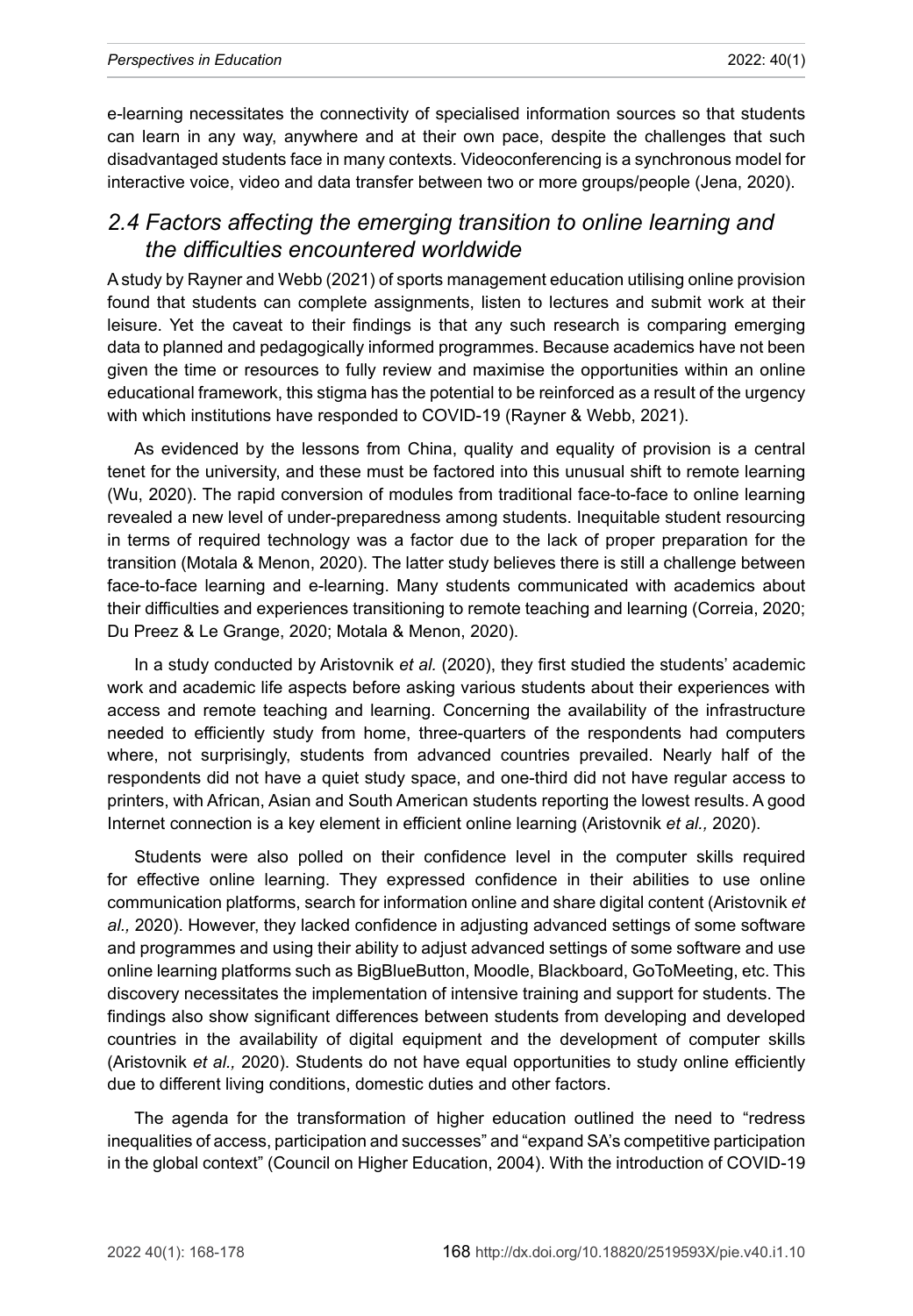e-learning necessitates the connectivity of specialised information sources so that students can learn in any way, anywhere and at their own pace, despite the challenges that such disadvantaged students face in many contexts. Videoconferencing is a synchronous model for interactive voice, video and data transfer between two or more groups/people (Jena, 2020).

## *2.4 Factors affecting the emerging transition to online learning and the difficulties encountered worldwide*

A study by Rayner and Webb (2021) of sports management education utilising online provision found that students can complete assignments, listen to lectures and submit work at their leisure. Yet the caveat to their findings is that any such research is comparing emerging data to planned and pedagogically informed programmes. Because academics have not been given the time or resources to fully review and maximise the opportunities within an online educational framework, this stigma has the potential to be reinforced as a result of the urgency with which institutions have responded to COVID-19 (Rayner & Webb, 2021).

As evidenced by the lessons from China, quality and equality of provision is a central tenet for the university, and these must be factored into this unusual shift to remote learning (Wu, 2020). The rapid conversion of modules from traditional face-to-face to online learning revealed a new level of under-preparedness among students. Inequitable student resourcing in terms of required technology was a factor due to the lack of proper preparation for the transition (Motala & Menon, 2020). The latter study believes there is still a challenge between face-to-face learning and e-learning. Many students communicated with academics about their difficulties and experiences transitioning to remote teaching and learning (Correia, 2020; Du Preez & Le Grange, 2020; Motala & Menon, 2020).

In a study conducted by Aristovnik *et al.* (2020), they first studied the students' academic work and academic life aspects before asking various students about their experiences with access and remote teaching and learning. Concerning the availability of the infrastructure needed to efficiently study from home, three-quarters of the respondents had computers where, not surprisingly, students from advanced countries prevailed. Nearly half of the respondents did not have a quiet study space, and one-third did not have regular access to printers, with African, Asian and South American students reporting the lowest results. A good Internet connection is a key element in efficient online learning (Aristovnik *et al.,* 2020).

Students were also polled on their confidence level in the computer skills required for effective online learning. They expressed confidence in their abilities to use online communication platforms, search for information online and share digital content (Aristovnik *et al.,* 2020). However, they lacked confidence in adjusting advanced settings of some software and programmes and using their ability to adjust advanced settings of some software and use online learning platforms such as BigBlueButton, Moodle, Blackboard, GoToMeeting, etc. This discovery necessitates the implementation of intensive training and support for students. The findings also show significant differences between students from developing and developed countries in the availability of digital equipment and the development of computer skills (Aristovnik *et al.,* 2020). Students do not have equal opportunities to study online efficiently due to different living conditions, domestic duties and other factors.

The agenda for the transformation of higher education outlined the need to "redress inequalities of access, participation and successes" and "expand SA's competitive participation in the global context" (Council on Higher Education, 2004). With the introduction of COVID-19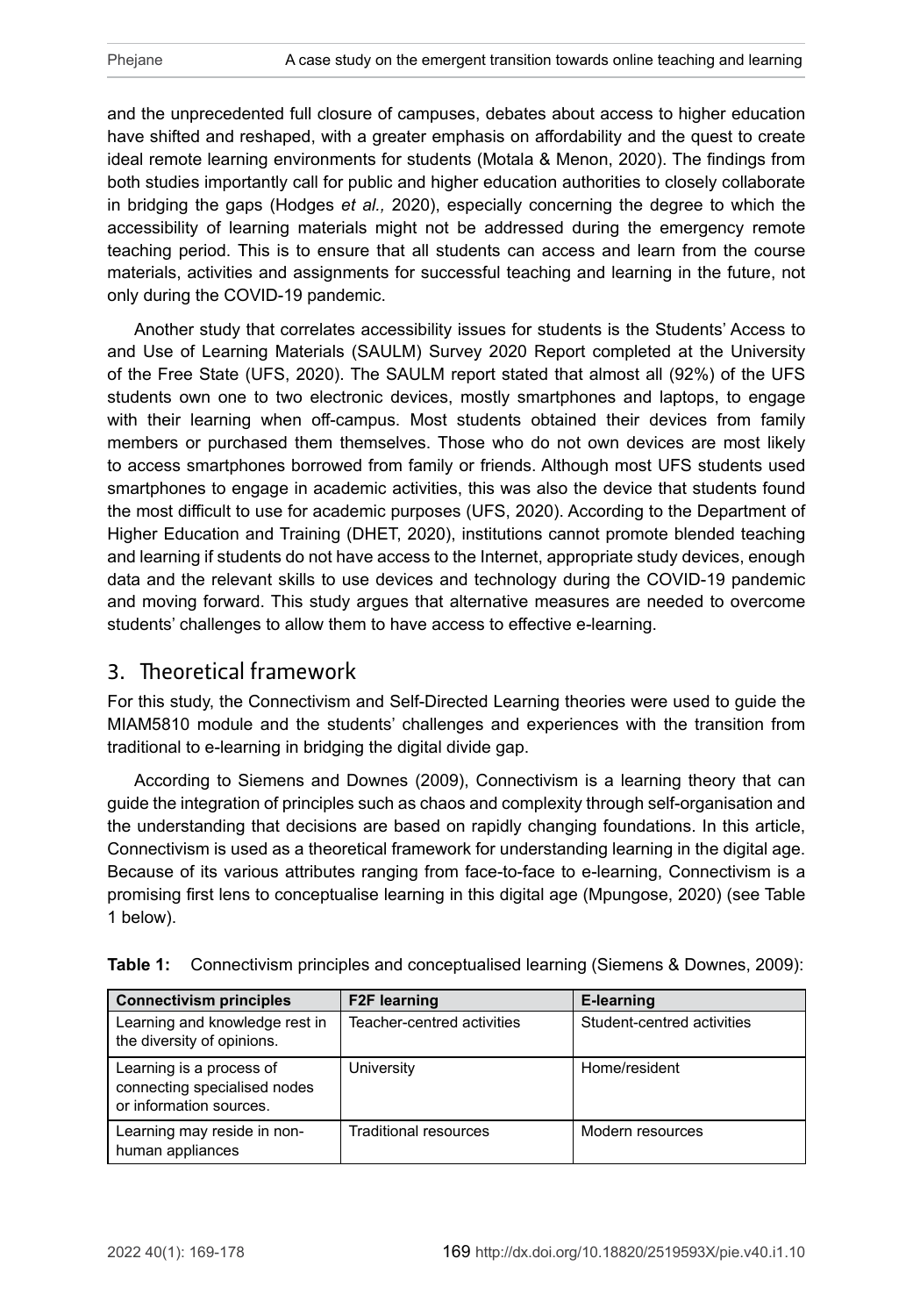and the unprecedented full closure of campuses, debates about access to higher education have shifted and reshaped, with a greater emphasis on affordability and the quest to create ideal remote learning environments for students (Motala & Menon, 2020). The findings from both studies importantly call for public and higher education authorities to closely collaborate in bridging the gaps (Hodges *et al.,* 2020), especially concerning the degree to which the accessibility of learning materials might not be addressed during the emergency remote teaching period. This is to ensure that all students can access and learn from the course materials, activities and assignments for successful teaching and learning in the future, not only during the COVID-19 pandemic.

Another study that correlates accessibility issues for students is the Students' Access to and Use of Learning Materials (SAULM) Survey 2020 Report completed at the University of the Free State (UFS, 2020). The SAULM report stated that almost all (92%) of the UFS students own one to two electronic devices, mostly smartphones and laptops, to engage with their learning when off-campus. Most students obtained their devices from family members or purchased them themselves. Those who do not own devices are most likely to access smartphones borrowed from family or friends. Although most UFS students used smartphones to engage in academic activities, this was also the device that students found the most difficult to use for academic purposes (UFS, 2020). According to the Department of Higher Education and Training (DHET, 2020), institutions cannot promote blended teaching and learning if students do not have access to the Internet, appropriate study devices, enough data and the relevant skills to use devices and technology during the COVID-19 pandemic and moving forward. This study argues that alternative measures are needed to overcome students' challenges to allow them to have access to effective e-learning.

# 3. Theoretical framework

For this study, the Connectivism and Self-Directed Learning theories were used to guide the MIAM5810 module and the students' challenges and experiences with the transition from traditional to e-learning in bridging the digital divide gap.

According to Siemens and Downes (2009), Connectivism is a learning theory that can guide the integration of principles such as chaos and complexity through self-organisation and the understanding that decisions are based on rapidly changing foundations. In this article, Connectivism is used as a theoretical framework for understanding learning in the digital age. Because of its various attributes ranging from face-to-face to e-learning, Connectivism is a promising first lens to conceptualise learning in this digital age (Mpungose, 2020) (see Table 1 below).

| <b>Connectivism principles</b>                                                      | <b>F2F learning</b>          | E-learning                 |
|-------------------------------------------------------------------------------------|------------------------------|----------------------------|
| Learning and knowledge rest in<br>the diversity of opinions.                        | Teacher-centred activities   | Student-centred activities |
| Learning is a process of<br>connecting specialised nodes<br>or information sources. | University                   | Home/resident              |
| Learning may reside in non-<br>human appliances                                     | <b>Traditional resources</b> | Modern resources           |

|  |  |  | <b>Table 1:</b> Connectivism principles and conceptualised learning (Siemens & Downes, 2009): |  |  |  |  |
|--|--|--|-----------------------------------------------------------------------------------------------|--|--|--|--|
|--|--|--|-----------------------------------------------------------------------------------------------|--|--|--|--|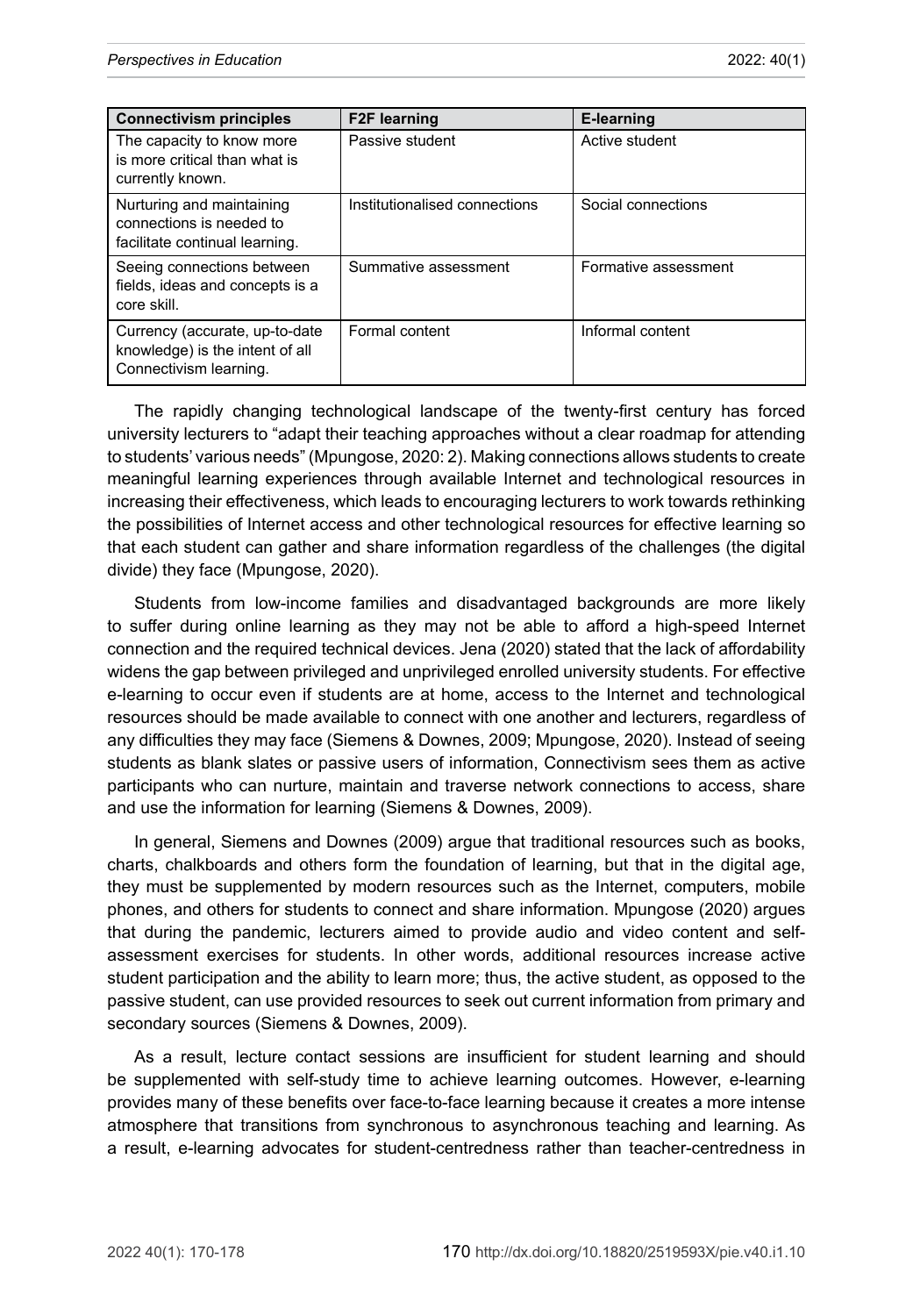| <b>Connectivism principles</b>                                                              | <b>F2F learning</b>           | E-learning           |
|---------------------------------------------------------------------------------------------|-------------------------------|----------------------|
| The capacity to know more<br>is more critical than what is<br>currently known.              | Passive student               | Active student       |
| Nurturing and maintaining<br>connections is needed to<br>facilitate continual learning.     | Institutionalised connections | Social connections   |
| Seeing connections between<br>fields, ideas and concepts is a<br>core skill.                | Summative assessment          | Formative assessment |
| Currency (accurate, up-to-date<br>knowledge) is the intent of all<br>Connectivism learning. | Formal content                | Informal content     |

The rapidly changing technological landscape of the twenty-first century has forced university lecturers to "adapt their teaching approaches without a clear roadmap for attending to students' various needs" (Mpungose, 2020: 2). Making connections allows students to create meaningful learning experiences through available Internet and technological resources in increasing their effectiveness, which leads to encouraging lecturers to work towards rethinking the possibilities of Internet access and other technological resources for effective learning so that each student can gather and share information regardless of the challenges (the digital divide) they face (Mpungose, 2020).

Students from low-income families and disadvantaged backgrounds are more likely to suffer during online learning as they may not be able to afford a high-speed Internet connection and the required technical devices. Jena (2020) stated that the lack of affordability widens the gap between privileged and unprivileged enrolled university students. For effective e-learning to occur even if students are at home, access to the Internet and technological resources should be made available to connect with one another and lecturers, regardless of any difficulties they may face (Siemens & Downes, 2009; Mpungose, 2020). Instead of seeing students as blank slates or passive users of information, Connectivism sees them as active participants who can nurture, maintain and traverse network connections to access, share and use the information for learning (Siemens & Downes, 2009).

In general, Siemens and Downes (2009) argue that traditional resources such as books, charts, chalkboards and others form the foundation of learning, but that in the digital age, they must be supplemented by modern resources such as the Internet, computers, mobile phones, and others for students to connect and share information. Mpungose (2020) argues that during the pandemic, lecturers aimed to provide audio and video content and selfassessment exercises for students. In other words, additional resources increase active student participation and the ability to learn more; thus, the active student, as opposed to the passive student, can use provided resources to seek out current information from primary and secondary sources (Siemens & Downes, 2009).

As a result, lecture contact sessions are insufficient for student learning and should be supplemented with self-study time to achieve learning outcomes. However, e-learning provides many of these benefits over face-to-face learning because it creates a more intense atmosphere that transitions from synchronous to asynchronous teaching and learning. As a result, e-learning advocates for student-centredness rather than teacher-centredness in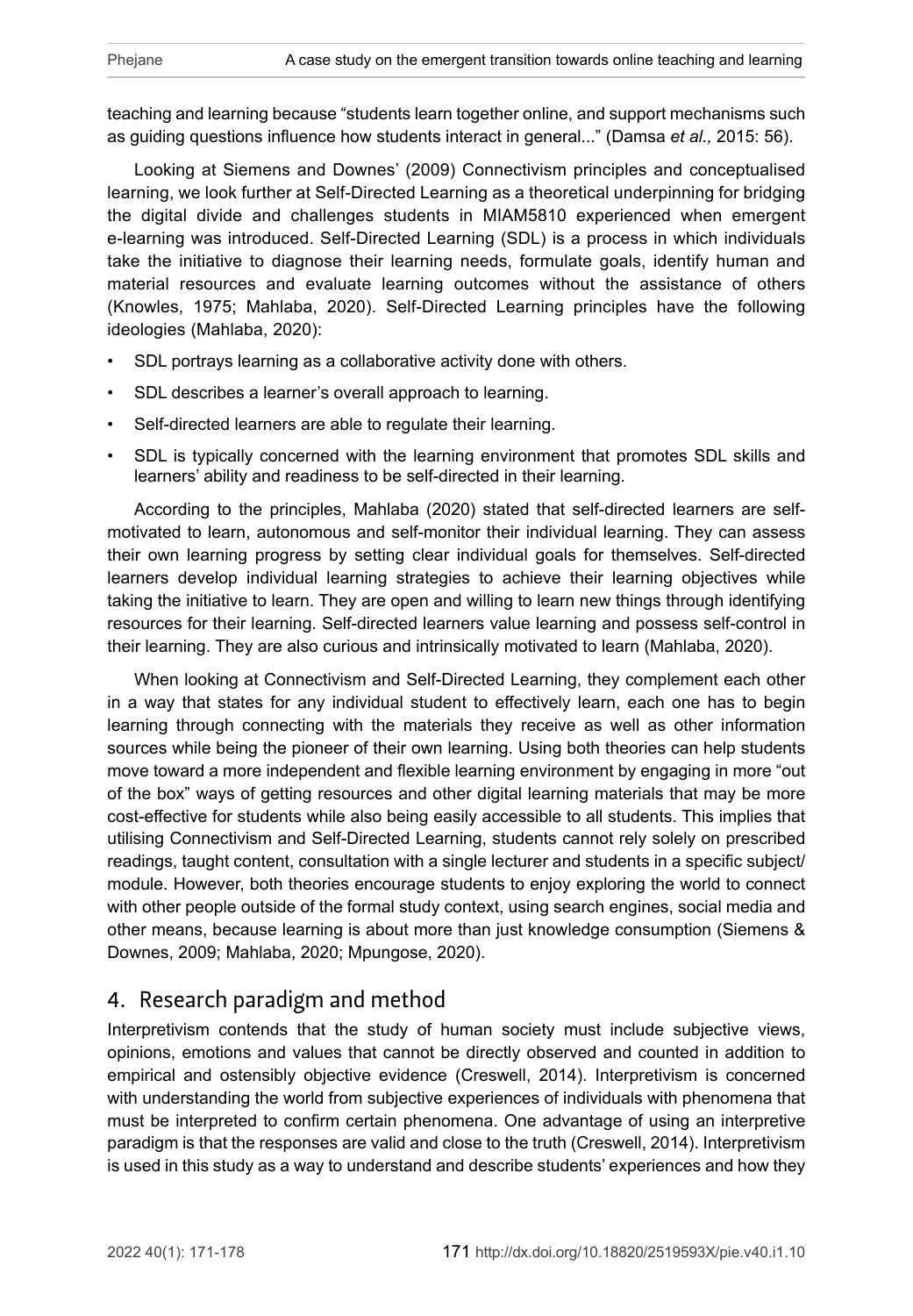teaching and learning because "students learn together online, and support mechanisms such as guiding questions influence how students interact in general..." (Damsa *et al.,* 2015: 56).

Looking at Siemens and Downes' (2009) Connectivism principles and conceptualised learning, we look further at Self-Directed Learning as a theoretical underpinning for bridging the digital divide and challenges students in MIAM5810 experienced when emergent e-learning was introduced. Self-Directed Learning (SDL) is a process in which individuals take the initiative to diagnose their learning needs, formulate goals, identify human and material resources and evaluate learning outcomes without the assistance of others (Knowles, 1975; Mahlaba, 2020). Self-Directed Learning principles have the following ideologies (Mahlaba, 2020):

- SDL portrays learning as a collaborative activity done with others.
- SDL describes a learner's overall approach to learning.
- Self-directed learners are able to regulate their learning.
- SDL is typically concerned with the learning environment that promotes SDL skills and learners' ability and readiness to be self-directed in their learning.

According to the principles, Mahlaba (2020) stated that self-directed learners are selfmotivated to learn, autonomous and self-monitor their individual learning. They can assess their own learning progress by setting clear individual goals for themselves. Self-directed learners develop individual learning strategies to achieve their learning objectives while taking the initiative to learn. They are open and willing to learn new things through identifying resources for their learning. Self-directed learners value learning and possess self-control in their learning. They are also curious and intrinsically motivated to learn (Mahlaba, 2020).

When looking at Connectivism and Self-Directed Learning, they complement each other in a way that states for any individual student to effectively learn, each one has to begin learning through connecting with the materials they receive as well as other information sources while being the pioneer of their own learning. Using both theories can help students move toward a more independent and flexible learning environment by engaging in more "out of the box" ways of getting resources and other digital learning materials that may be more cost-effective for students while also being easily accessible to all students. This implies that utilising Connectivism and Self-Directed Learning, students cannot rely solely on prescribed readings, taught content, consultation with a single lecturer and students in a specific subject/ module. However, both theories encourage students to enjoy exploring the world to connect with other people outside of the formal study context, using search engines, social media and other means, because learning is about more than just knowledge consumption (Siemens & Downes, 2009; Mahlaba, 2020; Mpungose, 2020).

# 4. Research paradigm and method

Interpretivism contends that the study of human society must include subjective views, opinions, emotions and values that cannot be directly observed and counted in addition to empirical and ostensibly objective evidence (Creswell, 2014). Interpretivism is concerned with understanding the world from subjective experiences of individuals with phenomena that must be interpreted to confirm certain phenomena. One advantage of using an interpretive paradigm is that the responses are valid and close to the truth (Creswell, 2014). Interpretivism is used in this study as a way to understand and describe students' experiences and how they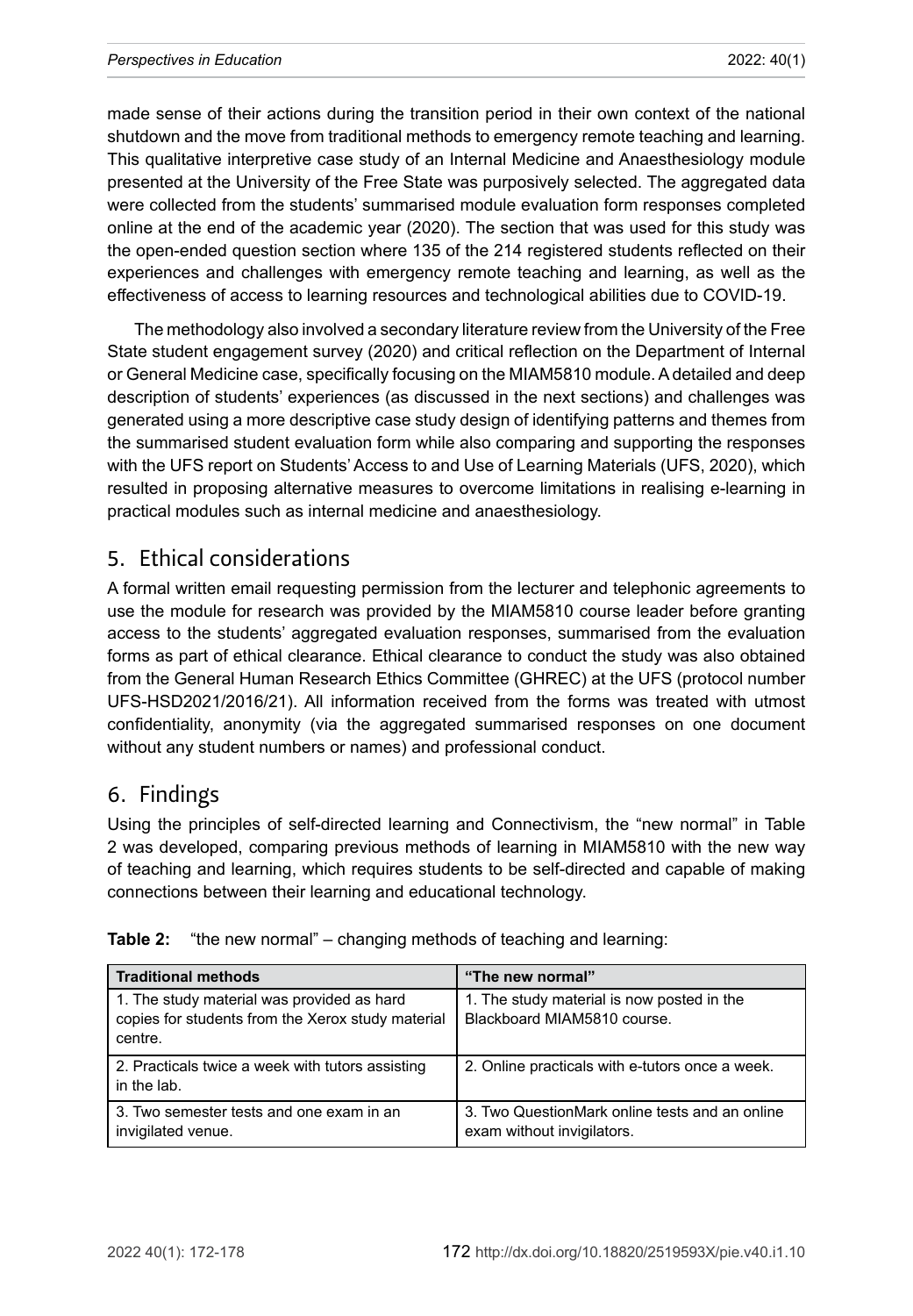made sense of their actions during the transition period in their own context of the national shutdown and the move from traditional methods to emergency remote teaching and learning. This qualitative interpretive case study of an Internal Medicine and Anaesthesiology module presented at the University of the Free State was purposively selected. The aggregated data were collected from the students' summarised module evaluation form responses completed online at the end of the academic year (2020). The section that was used for this study was the open-ended question section where 135 of the 214 registered students reflected on their experiences and challenges with emergency remote teaching and learning, as well as the effectiveness of access to learning resources and technological abilities due to COVID-19.

The methodology also involved a secondary literature review from the University of the Free State student engagement survey (2020) and critical reflection on the Department of Internal or General Medicine case, specifically focusing on the MIAM5810 module. A detailed and deep description of students' experiences (as discussed in the next sections) and challenges was generated using a more descriptive case study design of identifying patterns and themes from the summarised student evaluation form while also comparing and supporting the responses with the UFS report on Students' Access to and Use of Learning Materials (UFS, 2020), which resulted in proposing alternative measures to overcome limitations in realising e-learning in practical modules such as internal medicine and anaesthesiology.

# 5. Ethical considerations

A formal written email requesting permission from the lecturer and telephonic agreements to use the module for research was provided by the MIAM5810 course leader before granting access to the students' aggregated evaluation responses, summarised from the evaluation forms as part of ethical clearance. Ethical clearance to conduct the study was also obtained from the General Human Research Ethics Committee (GHREC) at the UFS (protocol number UFS-HSD2021/2016/21). All information received from the forms was treated with utmost confidentiality, anonymity (via the aggregated summarised responses on one document without any student numbers or names) and professional conduct.

#### 6. Findings

Using the principles of self-directed learning and Connectivism, the "new normal" in Table 2 was developed, comparing previous methods of learning in MIAM5810 with the new way of teaching and learning, which requires students to be self-directed and capable of making connections between their learning and educational technology.

| <b>Traditional methods</b>                                                                                 | "The new normal"                                                             |
|------------------------------------------------------------------------------------------------------------|------------------------------------------------------------------------------|
| 1. The study material was provided as hard<br>copies for students from the Xerox study material<br>centre. | 1. The study material is now posted in the<br>Blackboard MIAM5810 course.    |
| 2. Practicals twice a week with tutors assisting<br>in the lab.                                            | 2. Online practicals with e-tutors once a week.                              |
| 3. Two semester tests and one exam in an<br>invigilated venue.                                             | 3. Two QuestionMark online tests and an online<br>exam without invigilators. |

|  |  |  | <b>Table 2:</b> "the new normal" – changing methods of teaching and learning: |  |  |
|--|--|--|-------------------------------------------------------------------------------|--|--|
|--|--|--|-------------------------------------------------------------------------------|--|--|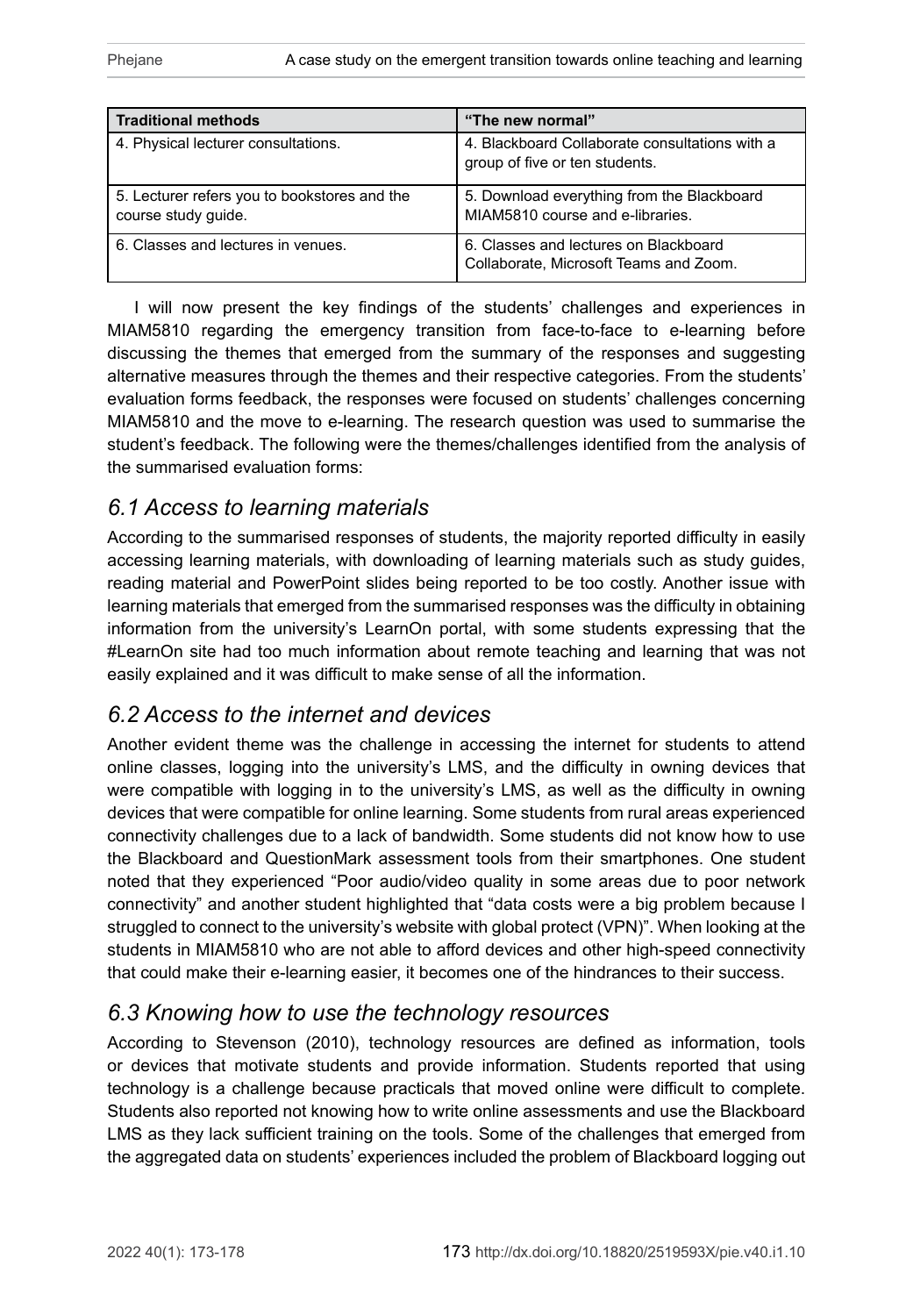| <b>Traditional methods</b>                                          | "The new normal"                                                                 |
|---------------------------------------------------------------------|----------------------------------------------------------------------------------|
| 4. Physical lecturer consultations.                                 | 4. Blackboard Collaborate consultations with a<br>group of five or ten students. |
| 5. Lecturer refers you to bookstores and the<br>course study guide. | 5. Download everything from the Blackboard<br>MIAM5810 course and e-libraries.   |
| 6. Classes and lectures in venues.                                  | 6. Classes and lectures on Blackboard<br>Collaborate, Microsoft Teams and Zoom.  |

I will now present the key findings of the students' challenges and experiences in MIAM5810 regarding the emergency transition from face-to-face to e-learning before discussing the themes that emerged from the summary of the responses and suggesting alternative measures through the themes and their respective categories. From the students' evaluation forms feedback, the responses were focused on students' challenges concerning MIAM5810 and the move to e-learning. The research question was used to summarise the student's feedback. The following were the themes/challenges identified from the analysis of the summarised evaluation forms:

# *6.1 Access to learning materials*

According to the summarised responses of students, the majority reported difficulty in easily accessing learning materials, with downloading of learning materials such as study guides, reading material and PowerPoint slides being reported to be too costly. Another issue with learning materials that emerged from the summarised responses was the difficulty in obtaining information from the university's LearnOn portal, with some students expressing that the #LearnOn site had too much information about remote teaching and learning that was not easily explained and it was difficult to make sense of all the information.

# *6.2 Access to the internet and devices*

Another evident theme was the challenge in accessing the internet for students to attend online classes, logging into the university's LMS, and the difficulty in owning devices that were compatible with logging in to the university's LMS, as well as the difficulty in owning devices that were compatible for online learning. Some students from rural areas experienced connectivity challenges due to a lack of bandwidth. Some students did not know how to use the Blackboard and QuestionMark assessment tools from their smartphones. One student noted that they experienced "Poor audio/video quality in some areas due to poor network connectivity" and another student highlighted that "data costs were a big problem because I struggled to connect to the university's website with global protect (VPN)". When looking at the students in MIAM5810 who are not able to afford devices and other high-speed connectivity that could make their e-learning easier, it becomes one of the hindrances to their success.

## *6.3 Knowing how to use the technology resources*

According to Stevenson (2010), technology resources are defined as information, tools or devices that motivate students and provide information. Students reported that using technology is a challenge because practicals that moved online were difficult to complete. Students also reported not knowing how to write online assessments and use the Blackboard LMS as they lack sufficient training on the tools. Some of the challenges that emerged from the aggregated data on students' experiences included the problem of Blackboard logging out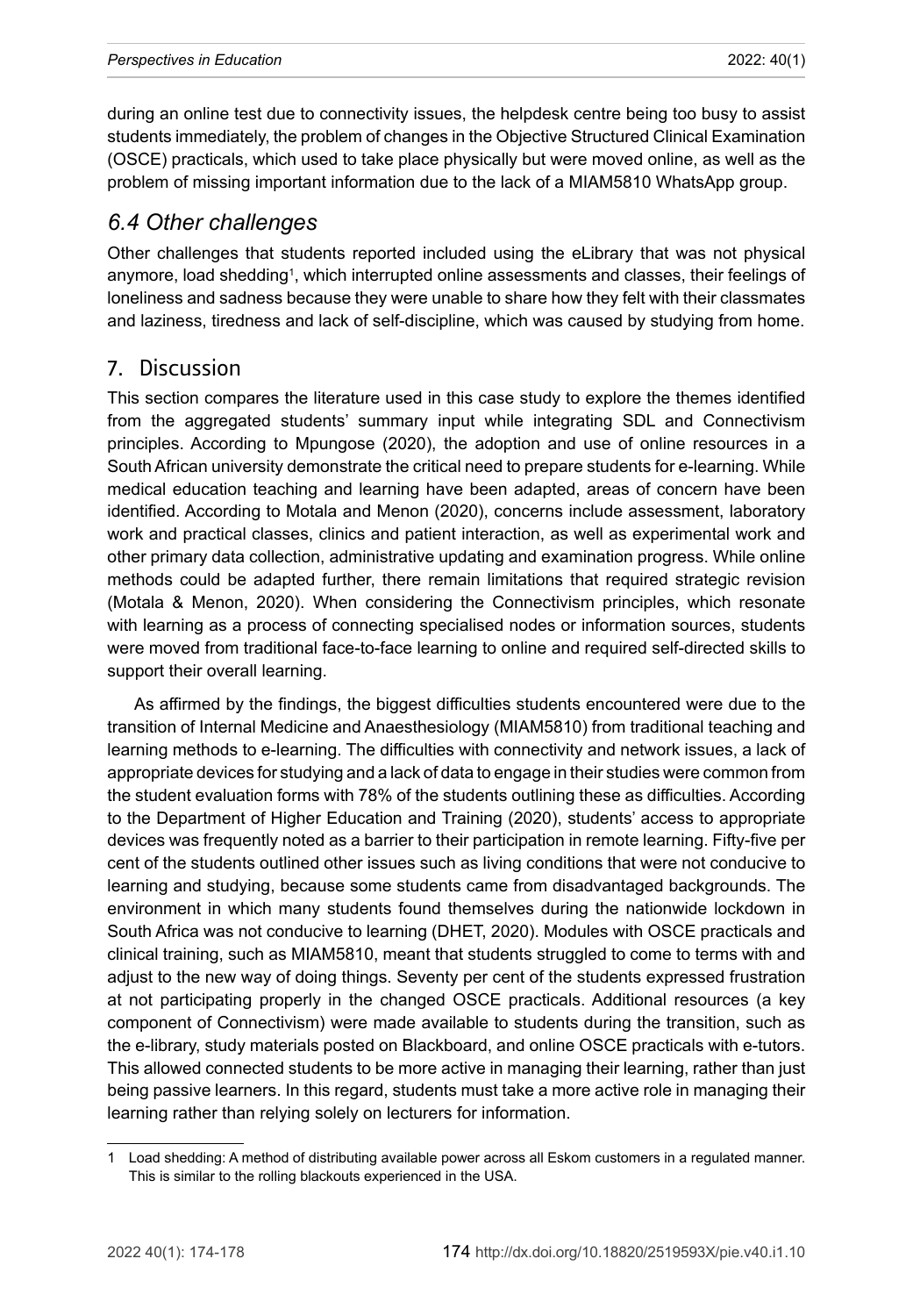during an online test due to connectivity issues, the helpdesk centre being too busy to assist students immediately, the problem of changes in the Objective Structured Clinical Examination (OSCE) practicals, which used to take place physically but were moved online, as well as the problem of missing important information due to the lack of a MIAM5810 WhatsApp group.

### *6.4 Other challenges*

Other challenges that students reported included using the eLibrary that was not physical anymore, load shedding<sup>1</sup>, which interrupted online assessments and classes, their feelings of loneliness and sadness because they were unable to share how they felt with their classmates and laziness, tiredness and lack of self-discipline, which was caused by studying from home.

## 7. Discussion

This section compares the literature used in this case study to explore the themes identified from the aggregated students' summary input while integrating SDL and Connectivism principles. According to Mpungose (2020), the adoption and use of online resources in a South African university demonstrate the critical need to prepare students for e-learning. While medical education teaching and learning have been adapted, areas of concern have been identified. According to Motala and Menon (2020), concerns include assessment, laboratory work and practical classes, clinics and patient interaction, as well as experimental work and other primary data collection, administrative updating and examination progress. While online methods could be adapted further, there remain limitations that required strategic revision (Motala & Menon, 2020). When considering the Connectivism principles, which resonate with learning as a process of connecting specialised nodes or information sources, students were moved from traditional face-to-face learning to online and required self-directed skills to support their overall learning.

As affirmed by the findings, the biggest difficulties students encountered were due to the transition of Internal Medicine and Anaesthesiology (MIAM5810) from traditional teaching and learning methods to e-learning. The difficulties with connectivity and network issues, a lack of appropriate devices for studying and a lack of data to engage in their studies were common from the student evaluation forms with 78% of the students outlining these as difficulties. According to the Department of Higher Education and Training (2020), students' access to appropriate devices was frequently noted as a barrier to their participation in remote learning. Fifty-five per cent of the students outlined other issues such as living conditions that were not conducive to learning and studying, because some students came from disadvantaged backgrounds. The environment in which many students found themselves during the nationwide lockdown in South Africa was not conducive to learning (DHET, 2020). Modules with OSCE practicals and clinical training, such as MIAM5810, meant that students struggled to come to terms with and adjust to the new way of doing things. Seventy per cent of the students expressed frustration at not participating properly in the changed OSCE practicals. Additional resources (a key component of Connectivism) were made available to students during the transition, such as the e-library, study materials posted on Blackboard, and online OSCE practicals with e-tutors. This allowed connected students to be more active in managing their learning, rather than just being passive learners. In this regard, students must take a more active role in managing their learning rather than relying solely on lecturers for information.

<sup>1</sup> Load shedding: A method of distributing available power across all Eskom customers in a regulated manner. This is similar to the rolling blackouts experienced in the USA.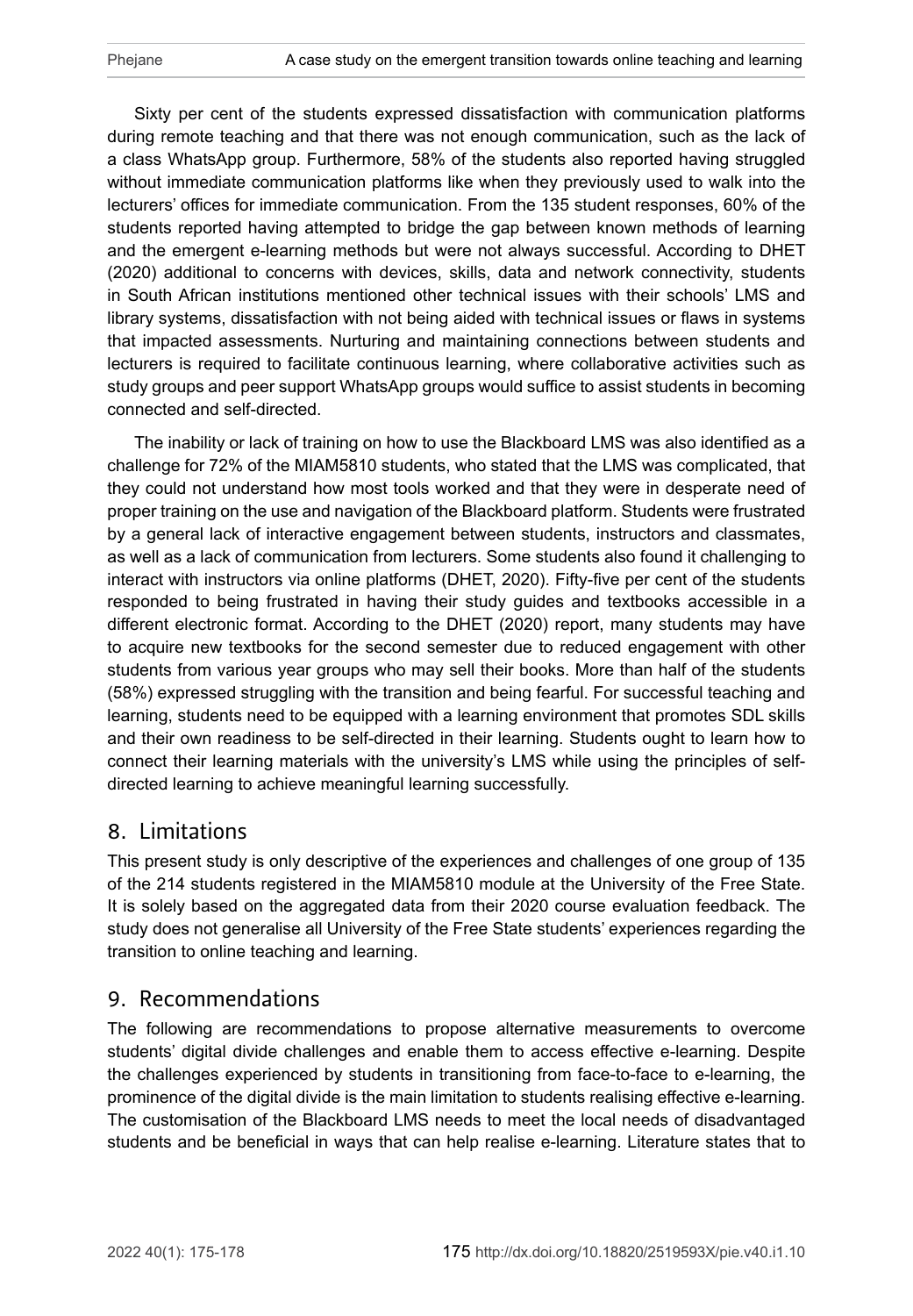Sixty per cent of the students expressed dissatisfaction with communication platforms during remote teaching and that there was not enough communication, such as the lack of a class WhatsApp group. Furthermore, 58% of the students also reported having struggled without immediate communication platforms like when they previously used to walk into the lecturers' offices for immediate communication. From the 135 student responses, 60% of the students reported having attempted to bridge the gap between known methods of learning and the emergent e-learning methods but were not always successful. According to DHET (2020) additional to concerns with devices, skills, data and network connectivity, students in South African institutions mentioned other technical issues with their schools' LMS and library systems, dissatisfaction with not being aided with technical issues or flaws in systems that impacted assessments. Nurturing and maintaining connections between students and lecturers is required to facilitate continuous learning, where collaborative activities such as study groups and peer support WhatsApp groups would suffice to assist students in becoming connected and self-directed.

The inability or lack of training on how to use the Blackboard LMS was also identified as a challenge for 72% of the MIAM5810 students, who stated that the LMS was complicated, that they could not understand how most tools worked and that they were in desperate need of proper training on the use and navigation of the Blackboard platform. Students were frustrated by a general lack of interactive engagement between students, instructors and classmates, as well as a lack of communication from lecturers. Some students also found it challenging to interact with instructors via online platforms (DHET, 2020). Fifty-five per cent of the students responded to being frustrated in having their study guides and textbooks accessible in a different electronic format. According to the DHET (2020) report, many students may have to acquire new textbooks for the second semester due to reduced engagement with other students from various year groups who may sell their books. More than half of the students (58%) expressed struggling with the transition and being fearful. For successful teaching and learning, students need to be equipped with a learning environment that promotes SDL skills and their own readiness to be self-directed in their learning. Students ought to learn how to connect their learning materials with the university's LMS while using the principles of selfdirected learning to achieve meaningful learning successfully.

#### 8. Limitations

This present study is only descriptive of the experiences and challenges of one group of 135 of the 214 students registered in the MIAM5810 module at the University of the Free State. It is solely based on the aggregated data from their 2020 course evaluation feedback. The study does not generalise all University of the Free State students' experiences regarding the transition to online teaching and learning.

#### 9. Recommendations

The following are recommendations to propose alternative measurements to overcome students' digital divide challenges and enable them to access effective e-learning. Despite the challenges experienced by students in transitioning from face-to-face to e-learning, the prominence of the digital divide is the main limitation to students realising effective e-learning. The customisation of the Blackboard LMS needs to meet the local needs of disadvantaged students and be beneficial in ways that can help realise e-learning. Literature states that to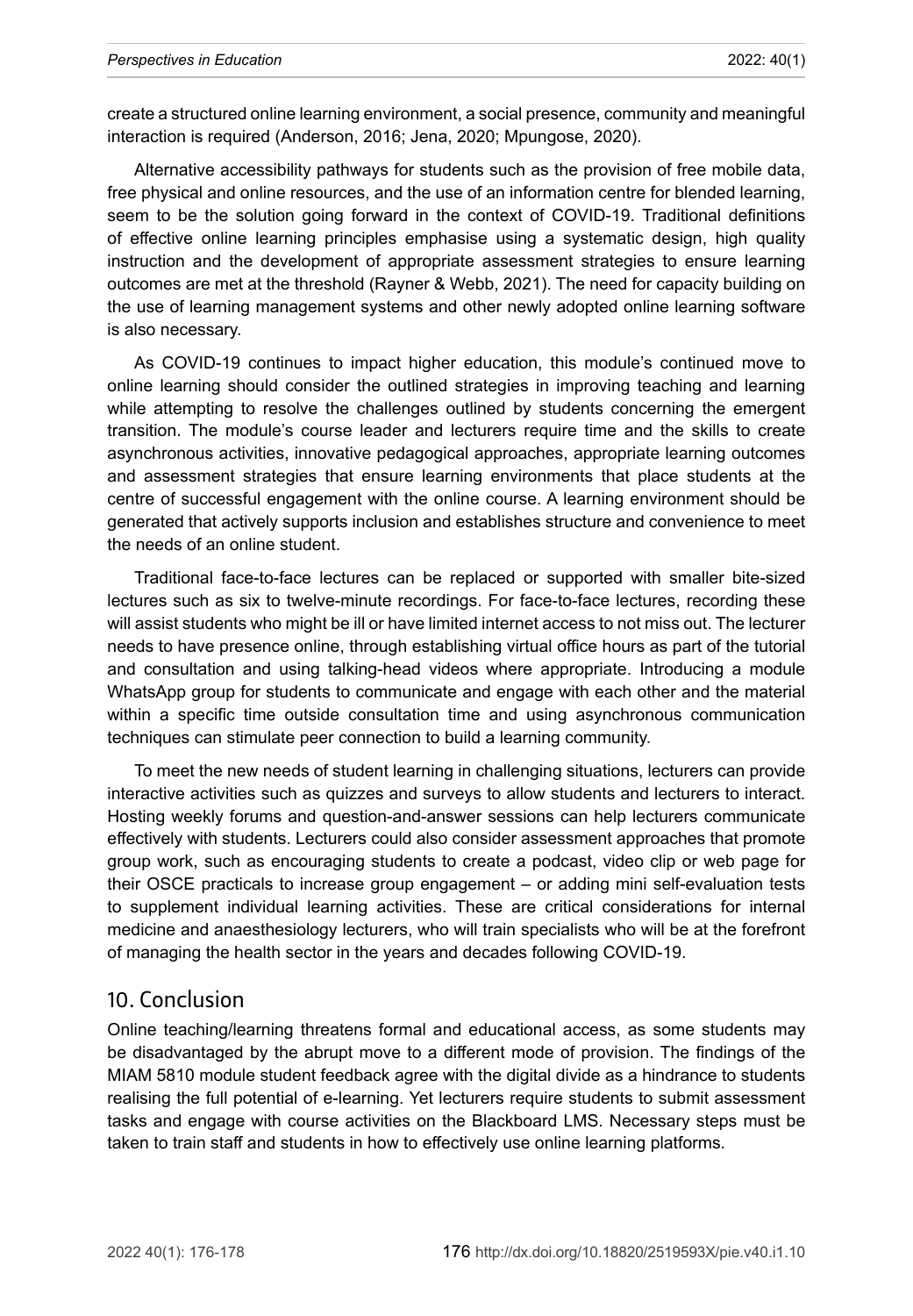create a structured online learning environment, a social presence, community and meaningful interaction is required (Anderson, 2016; Jena, 2020; Mpungose, 2020).

Alternative accessibility pathways for students such as the provision of free mobile data, free physical and online resources, and the use of an information centre for blended learning, seem to be the solution going forward in the context of COVID-19. Traditional definitions of effective online learning principles emphasise using a systematic design, high quality instruction and the development of appropriate assessment strategies to ensure learning outcomes are met at the threshold (Rayner & Webb, 2021). The need for capacity building on the use of learning management systems and other newly adopted online learning software is also necessary.

As COVID-19 continues to impact higher education, this module's continued move to online learning should consider the outlined strategies in improving teaching and learning while attempting to resolve the challenges outlined by students concerning the emergent transition. The module's course leader and lecturers require time and the skills to create asynchronous activities, innovative pedagogical approaches, appropriate learning outcomes and assessment strategies that ensure learning environments that place students at the centre of successful engagement with the online course. A learning environment should be generated that actively supports inclusion and establishes structure and convenience to meet the needs of an online student.

Traditional face-to-face lectures can be replaced or supported with smaller bite-sized lectures such as six to twelve-minute recordings. For face-to-face lectures, recording these will assist students who might be ill or have limited internet access to not miss out. The lecturer needs to have presence online, through establishing virtual office hours as part of the tutorial and consultation and using talking-head videos where appropriate. Introducing a module WhatsApp group for students to communicate and engage with each other and the material within a specific time outside consultation time and using asynchronous communication techniques can stimulate peer connection to build a learning community.

To meet the new needs of student learning in challenging situations, lecturers can provide interactive activities such as quizzes and surveys to allow students and lecturers to interact. Hosting weekly forums and question-and-answer sessions can help lecturers communicate effectively with students. Lecturers could also consider assessment approaches that promote group work, such as encouraging students to create a podcast, video clip or web page for their OSCE practicals to increase group engagement – or adding mini self-evaluation tests to supplement individual learning activities. These are critical considerations for internal medicine and anaesthesiology lecturers, who will train specialists who will be at the forefront of managing the health sector in the years and decades following COVID-19.

#### 10. Conclusion

Online teaching/learning threatens formal and educational access, as some students may be disadvantaged by the abrupt move to a different mode of provision. The findings of the MIAM 5810 module student feedback agree with the digital divide as a hindrance to students realising the full potential of e-learning. Yet lecturers require students to submit assessment tasks and engage with course activities on the Blackboard LMS. Necessary steps must be taken to train staff and students in how to effectively use online learning platforms.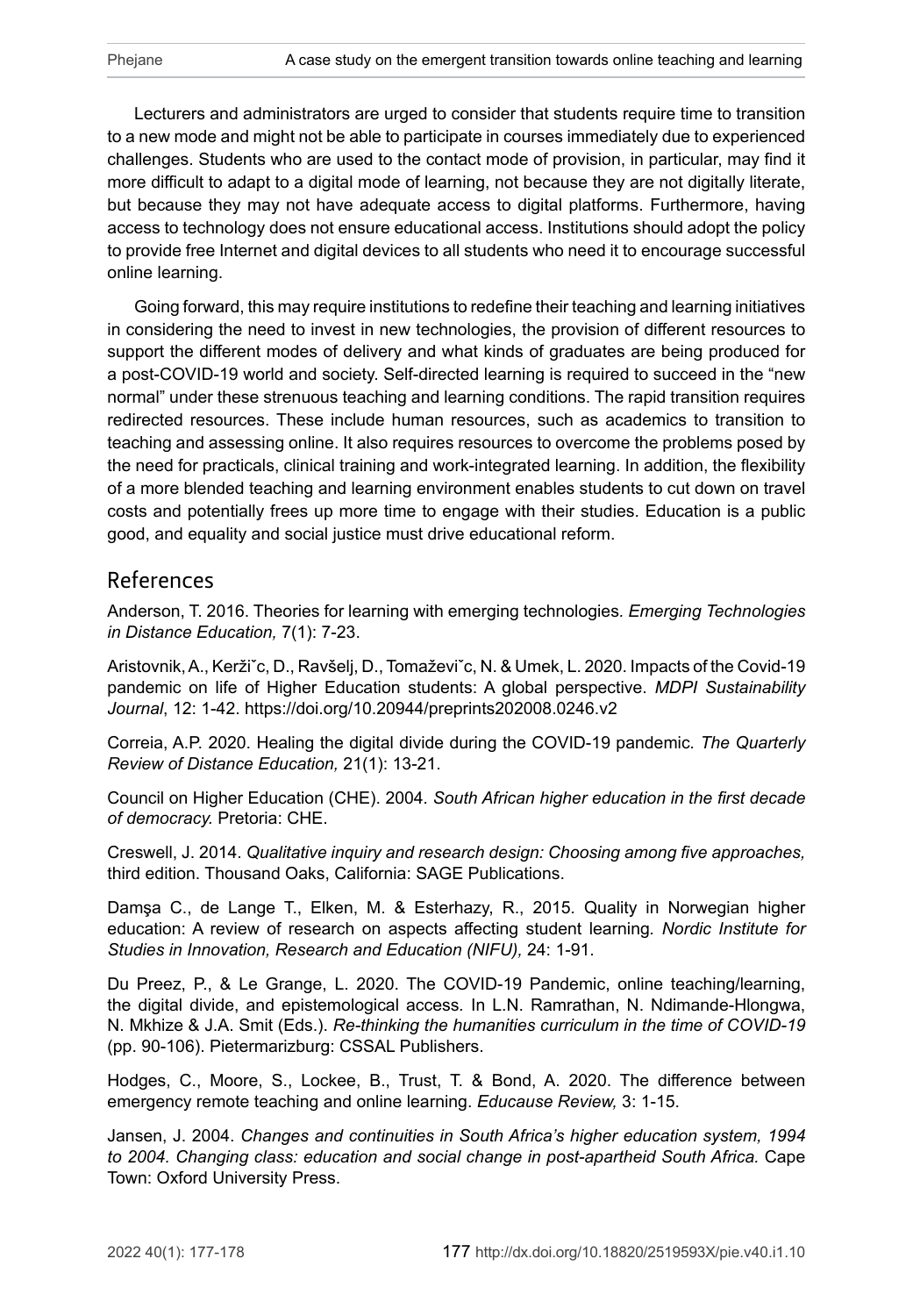Lecturers and administrators are urged to consider that students require time to transition to a new mode and might not be able to participate in courses immediately due to experienced challenges. Students who are used to the contact mode of provision, in particular, may find it more difficult to adapt to a digital mode of learning, not because they are not digitally literate, but because they may not have adequate access to digital platforms. Furthermore, having access to technology does not ensure educational access. Institutions should adopt the policy to provide free Internet and digital devices to all students who need it to encourage successful online learning.

Going forward, this may require institutions to redefine their teaching and learning initiatives in considering the need to invest in new technologies, the provision of different resources to support the different modes of delivery and what kinds of graduates are being produced for a post-COVID-19 world and society. Self-directed learning is required to succeed in the "new normal" under these strenuous teaching and learning conditions. The rapid transition requires redirected resources. These include human resources, such as academics to transition to teaching and assessing online. It also requires resources to overcome the problems posed by the need for practicals, clinical training and work-integrated learning. In addition, the flexibility of a more blended teaching and learning environment enables students to cut down on travel costs and potentially frees up more time to engage with their studies. Education is a public good, and equality and social justice must drive educational reform.

### References

Anderson, T. 2016. Theories for learning with emerging technologies*. Emerging Technologies in Distance Education,* 7(1): 7-23.

Aristovnik, A., Keržiˇc, D., Ravšelj, D., Tomaževiˇc, N. & Umek, L. 2020. Impacts of the Covid-19 pandemic on life of Higher Education students: A global perspective. *MDPI Sustainability Journal*, 12: 1-42.<https://doi.org/10.20944/preprints202008.0246.v2>

Correia, A.P. 2020. Healing the digital divide during the COVID-19 pandemic*. The Quarterly Review of Distance Education,* 21(1): 13-21.

Council on Higher Education (CHE). 2004*. South African higher education in the first decade of democracy.* Pretoria: CHE.

Creswell, J. 2014. *Qualitative inquiry and research design: Choosing among five approaches,*  third edition. Thousand Oaks, California: SAGE Publications.

Damşa C., de Lange T., Elken, M. & Esterhazy, R., 2015*.* Quality in Norwegian higher education: A review of research on aspects affecting student learning*. Nordic Institute for Studies in Innovation, Research and Education (NIFU),* 24: 1-91.

Du Preez, P., & Le Grange, L. 2020. The COVID-19 Pandemic, online teaching/learning, the digital divide, and epistemological access*.* In L.N. Ramrathan, N. Ndimande-Hlongwa, N. Mkhize & J.A. Smit (Eds.). *Re-thinking the humanities curriculum in the time of COVID-19* (pp. 90‑106). Pietermarizburg: CSSAL Publishers.

Hodges, C., Moore, S., Lockee, B., Trust, T. & Bond, A. 2020. The difference between emergency remote teaching and online learning. *Educause Review,* 3: 1-15.

Jansen, J. 2004. *Changes and continuities in South Africa's higher education system, 1994 to 2004. Changing class: education and social change in post-apartheid South Africa.* Cape Town: Oxford University Press.